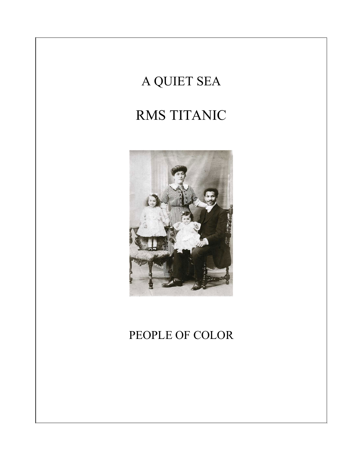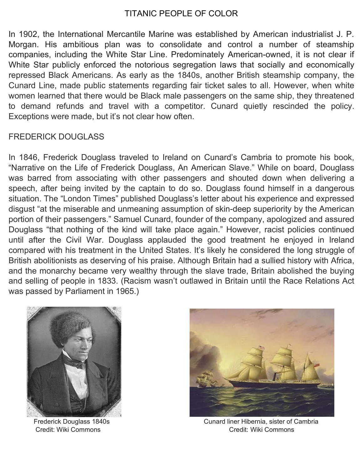## TITANIC PEOPLE OF COLOR

In 1902, the International Mercantile Marine was established by American industrialist J. P. Morgan. His ambitious plan was to consolidate and control a number of steamship companies, including the White Star Line. Predominately American-owned, it is not clear if White Star publicly enforced the notorious segregation laws that socially and economically repressed Black Americans. As early as the 1840s, another British steamship company, the Cunard Line, made public statements regarding fair ticket sales to all. However, when white women learned that there would be Black male passengers on the same ship, they threatened to demand refunds and travel with a competitor. Cunard quietly rescinded the policy. Exceptions were made, but it's not clear how often.

## FREDERICK DOUGLASS

In 1846, Frederick Douglass traveled to Ireland on Cunard's Cambria to promote his book, "Narrative on the Life of Frederick Douglass, An American Slave." While on board, Douglass was barred from associating with other passengers and shouted down when delivering a speech, after being invited by the captain to do so. Douglass found himself in a dangerous situation. The "London Times" published Douglass's letter about his experience and expressed disgust "at the miserable and unmeaning assumption of skin-deep superiority by the American portion of their passengers." Samuel Cunard, founder of the company, apologized and assured Douglass "that nothing of the kind will take place again." However, racist policies continued until after the Civil War. Douglass applauded the good treatment he enjoyed in Ireland compared with his treatment in the United States. It's likely he considered the long struggle of British abolitionists as deserving of his praise. Although Britain had a sullied history with Africa, and the monarchy became very wealthy through the slave trade, Britain abolished the buying and selling of people in 1833. (Racism wasn't outlawed in Britain until the Race Relations Act was passed by Parliament in 1965.)





Frederick Douglass 1840s **Cunard liner Hibernia, sister of Cambria** Credit: Wiki Commons Credit: Wiki Commons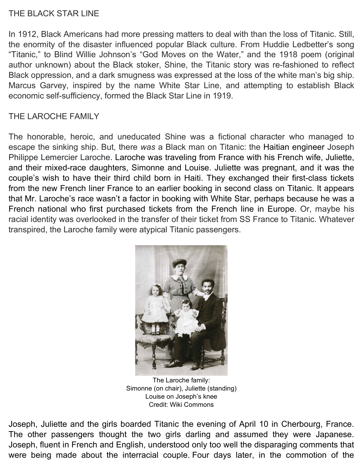## THE BLACK STAR LINE

In 1912, Black Americans had more pressing matters to deal with than the loss of Titanic. Still, the enormity of the disaster influenced popular Black culture. From Huddie Ledbetter's song "Titanic," to Blind Willie Johnson's "God Moves on the Water," and the 1918 poem (original author unknown) about the Black stoker, Shine, the Titanic story was re-fashioned to reflect Black oppression, and a dark smugness was expressed at the loss of the white man's big ship. Marcus Garvey, inspired by the name White Star Line, and attempting to establish Black economic self-sufficiency, formed the Black Star Line in 1919.

## THE LAROCHE FAMILY

The honorable, heroic, and uneducated Shine was a fictional character who managed to escape the sinking ship. But, there *was* a Black man on Titanic: the Haitian engineer Joseph Philippe Lemercier Laroche. Laroche was traveling from France with his French wife, Juliette, and their mixed-race daughters, Simonne and Louise. Juliette was pregnant, and it was the couple's wish to have their third child born in Haiti. They exchanged their first-class tickets from the new French liner France to an earlier booking in second class on Titanic. It appears that Mr. Laroche's race wasn't a factor in booking with White Star, perhaps because he was a French national who first purchased tickets from the French line in Europe. Or, maybe his racial identity was overlooked in the transfer of their ticket from SS France to Titanic. Whatever transpired, the Laroche family were atypical Titanic passengers.



The Laroche family: Simonne (on chair), Juliette (standing) Louise on Joseph's knee Credit: Wiki Commons

Joseph, Juliette and the girls boarded Titanic the evening of April 10 in Cherbourg, France. The other passengers thought the two girls darling and assumed they were Japanese. Joseph, fluent in French and English, understood only too well the disparaging comments that were being made about the interracial couple. Four days later, in the commotion of the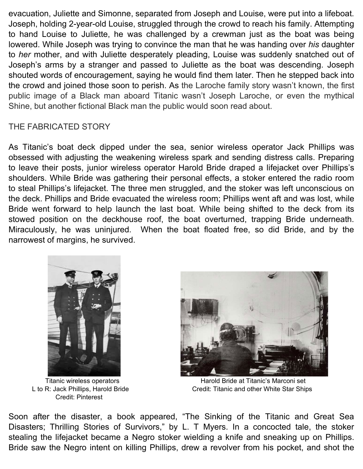evacuation, Juliette and Simonne, separated from Joseph and Louise, were put into a lifeboat. Joseph, holding 2-year-old Louise, struggled through the crowd to reach his family. Attempting to hand Louise to Juliette, he was challenged by a crewman just as the boat was being lowered. While Joseph was trying to convince the man that he was handing over *his* daughter to *her* mother, and with Juliette desperately pleading, Louise was suddenly snatched out of Joseph's arms by a stranger and passed to Juliette as the boat was descending. Joseph shouted words of encouragement, saying he would find them later. Then he stepped back into the crowd and joined those soon to perish. As the Laroche family story wasn't known, the first public image of a Black man aboard Titanic wasn't Joseph Laroche, or even the mythical Shine, but another fictional Black man the public would soon read about.

## THE FABRICATED STORY

As Titanic's boat deck dipped under the sea, senior wireless operator Jack Phillips was obsessed with adjusting the weakening wireless spark and sending distress calls. Preparing to leave their posts, junior wireless operator Harold Bride draped a lifejacket over Phillips's shoulders. While Bride was gathering their personal effects, a stoker entered the radio room to steal Phillips's lifejacket. The three men struggled, and the stoker was left unconscious on the deck. Phillips and Bride evacuated the wireless room; Phillips went aft and was lost, while Bride went forward to help launch the last boat. While being shifted to the deck from its stowed position on the deckhouse roof, the boat overturned, trapping Bride underneath. Miraculously, he was uninjured. When the boat floated free, so did Bride, and by the narrowest of margins, he survived.



Credit: Pinterest



Titanic wireless operators **Harold Bride at Titanic's Marconi set** L to R: Jack Phillips, Harold Bride Credit: Titanic and other White Star Ships

Soon after the disaster, a book appeared, "The Sinking of the Titanic and Great Sea Disasters; Thrilling Stories of Survivors," by L. T Myers. In a concocted tale, the stoker stealing the lifejacket became a Negro stoker wielding a knife and sneaking up on Phillips. Bride saw the Negro intent on killing Phillips, drew a revolver from his pocket, and shot the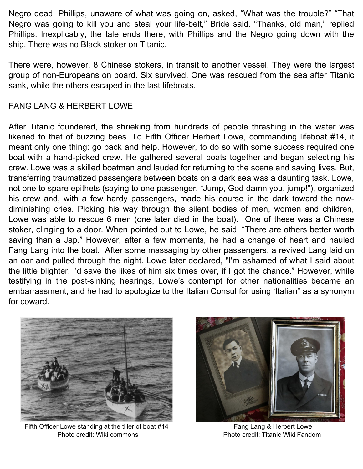Negro dead. Phillips, unaware of what was going on, asked, "What was the trouble?" "That Negro was going to kill you and steal your life-belt," Bride said. "Thanks, old man," replied Phillips. Inexplicably, the tale ends there, with Phillips and the Negro going down with the ship. There was no Black stoker on Titanic.

There were, however, 8 Chinese stokers, in transit to another vessel. They were the largest group of non-Europeans on board. Six survived. One was rescued from the sea after Titanic sank, while the others escaped in the last lifeboats.

## FANG LANG & HERBERT LOWE

After Titanic foundered, the shrieking from hundreds of people thrashing in the water was likened to that of buzzing bees. To Fifth Officer Herbert Lowe, commanding lifeboat #14, it meant only one thing: go back and help. However, to do so with some success required one boat with a hand-picked crew. He gathered several boats together and began selecting his crew. Lowe was a skilled boatman and lauded for returning to the scene and saving lives. But, transferring traumatized passengers between boats on a dark sea was a daunting task. Lowe, not one to spare epithets (saying to one passenger, "Jump, God damn you, jump!"), organized his crew and, with a few hardy passengers, made his course in the dark toward the nowdiminishing cries. Picking his way through the silent bodies of men, women and children, Lowe was able to rescue 6 men (one later died in the boat). One of these was a Chinese stoker, clinging to a door. When pointed out to Lowe, he said, "There are others better worth saving than a Jap." However, after a few moments, he had a change of heart and hauled Fang Lang into the boat. After some massaging by other passengers, a revived Lang laid on an oar and pulled through the night. Lowe later declared, "I'm ashamed of what I said about the little blighter. I'd save the likes of him six times over, if I got the chance." However, while testifying in the post-sinking hearings, Lowe's contempt for other nationalities became an embarrassment, and he had to apologize to the Italian Consul for using 'Italian" as a synonym for coward.



Fifth Officer Lowe standing at the tiller of boat #14 Fang Lang & Herbert Lowe Photo credit: Wiki commons Photo credit: Titanic Wiki Fandom